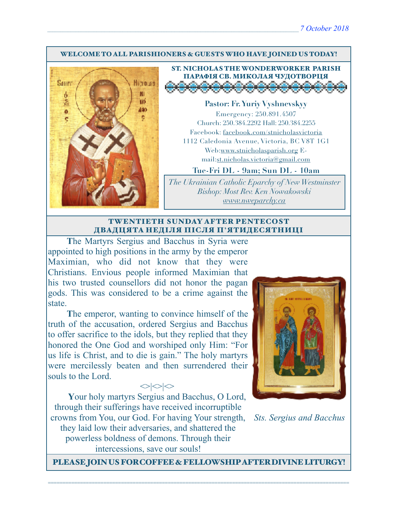#### WELCOME TO ALL PARISHIONERS & GUESTS WHO HAVE JOINED US TODAY!



ST. NICHOLAS THE WONDERWORKER PARISH ПАРАФІЯ СВ. МИКОЛАЯ ЧУДОТВОРЦЯ

**Pastor: Fr. Yuriy Vyshnevskyy** Emergency: 250.891.4507 Church: 250.384.2292 Hall: 250.384.2255 Facebook: facebook.com/stnicholasvictoria 1112 Caledonia Avenue, Victoria, BC V8T 1G1 Web[:www.stnicholasparish.org](http://www.stnicholasparish.org) Email:[st.nicholas.victoria@gmail.com](mailto:st.nicholas.victoria@gmail.com)

**Tue-Fri DL - 9am; Sun DL - 10am**

*The Ukrainian Catholic Eparchy of New Westminster Bishop: Most Rev. Ken Nowakowski [www.nweparchy.ca](http://www.nweparchy.ca)*

#### TWENTIETH SUNDAY AFTER PENTECOST ДВАДЦЯТА НЕДІЛЯ ПІСЛЯ П**'**ЯТИДЕСЯТНИЦІ

**T**he Martyrs Sergius and Bacchus in Syria were appointed to high positions in the army by the emperor Maximian, who did not know that they were Christians. Envious people informed Maximian that his two trusted counsellors did not honor the pagan gods. This was considered to be a crime against the state.

**T**he emperor, wanting to convince himself of the truth of the accusation, ordered Sergius and Bacchus to offer sacrifice to the idols, but they replied that they honored the One God and worshiped only Him: "For us life is Christ, and to die is gain." The holy martyrs were mercilessly beaten and then surrendered their souls to the Lord.

# $\langle \rangle$

**Y**our holy martyrs Sergius and Bacchus, O Lord, through their sufferings have received incorruptible crowns from You, our God. For having Your strength, they laid low their adversaries, and shattered the powerless boldness of demons. Through their intercessions, save our souls!



*Sts. Sergius and Bacchus*

PLEASE JOIN US FOR COFFEE & FELLOWSHIP AFTER DIVINE LITURGY!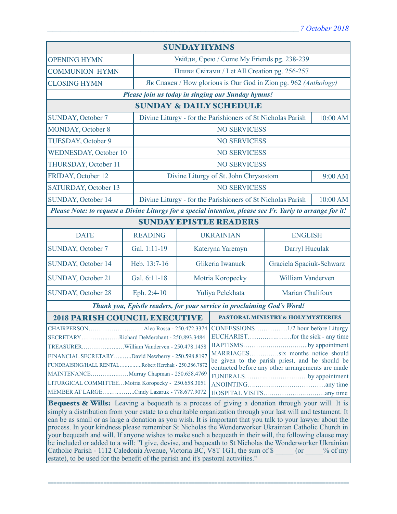| <b>SUNDAY HYMNS</b>                                                                                                                                                                                                                                                                                                                                                                                                                                                                                                                                                                                                                                                                                                                                                                                                                         |                                                             |                                                                         |                                                                         |                   |         |
|---------------------------------------------------------------------------------------------------------------------------------------------------------------------------------------------------------------------------------------------------------------------------------------------------------------------------------------------------------------------------------------------------------------------------------------------------------------------------------------------------------------------------------------------------------------------------------------------------------------------------------------------------------------------------------------------------------------------------------------------------------------------------------------------------------------------------------------------|-------------------------------------------------------------|-------------------------------------------------------------------------|-------------------------------------------------------------------------|-------------------|---------|
| <b>OPENING HYMN</b>                                                                                                                                                                                                                                                                                                                                                                                                                                                                                                                                                                                                                                                                                                                                                                                                                         |                                                             | Увійди, Єрею / Come My Friends pg. 238-239                              |                                                                         |                   |         |
| <b>COMMUNION HYMN</b>                                                                                                                                                                                                                                                                                                                                                                                                                                                                                                                                                                                                                                                                                                                                                                                                                       |                                                             | Пливи Світами / Let All Creation pg. 256-257                            |                                                                         |                   |         |
| <b>CLOSING HYMN</b>                                                                                                                                                                                                                                                                                                                                                                                                                                                                                                                                                                                                                                                                                                                                                                                                                         |                                                             | Як Славен / How glorious is Our God in Zion pg. 962 (Anthology)         |                                                                         |                   |         |
|                                                                                                                                                                                                                                                                                                                                                                                                                                                                                                                                                                                                                                                                                                                                                                                                                                             |                                                             |                                                                         | Please join us today in singing our Sunday hymns!                       |                   |         |
|                                                                                                                                                                                                                                                                                                                                                                                                                                                                                                                                                                                                                                                                                                                                                                                                                                             |                                                             |                                                                         | <b>SUNDAY &amp; DAILY SCHEDULE</b>                                      |                   |         |
| <b>SUNDAY, October 7</b>                                                                                                                                                                                                                                                                                                                                                                                                                                                                                                                                                                                                                                                                                                                                                                                                                    |                                                             | Divine Liturgy - for the Parishioners of St Nicholas Parish<br>10:00 AM |                                                                         |                   |         |
| <b>MONDAY, October 8</b>                                                                                                                                                                                                                                                                                                                                                                                                                                                                                                                                                                                                                                                                                                                                                                                                                    |                                                             | <b>NO SERVICESS</b>                                                     |                                                                         |                   |         |
| TUESDAY, October 9                                                                                                                                                                                                                                                                                                                                                                                                                                                                                                                                                                                                                                                                                                                                                                                                                          |                                                             | <b>NO SERVICESS</b>                                                     |                                                                         |                   |         |
| <b>WEDNESDAY, October 10</b>                                                                                                                                                                                                                                                                                                                                                                                                                                                                                                                                                                                                                                                                                                                                                                                                                |                                                             | <b>NO SERVICESS</b>                                                     |                                                                         |                   |         |
| THURSDAY, October 11                                                                                                                                                                                                                                                                                                                                                                                                                                                                                                                                                                                                                                                                                                                                                                                                                        |                                                             |                                                                         | <b>NO SERVICESS</b>                                                     |                   |         |
| FRIDAY, October 12                                                                                                                                                                                                                                                                                                                                                                                                                                                                                                                                                                                                                                                                                                                                                                                                                          |                                                             | Divine Liturgy of St. John Chrysostom                                   |                                                                         |                   | 9:00 AM |
| <b>SATURDAY, October 13</b>                                                                                                                                                                                                                                                                                                                                                                                                                                                                                                                                                                                                                                                                                                                                                                                                                 |                                                             | <b>NO SERVICESS</b>                                                     |                                                                         |                   |         |
| <b>SUNDAY, October 14</b>                                                                                                                                                                                                                                                                                                                                                                                                                                                                                                                                                                                                                                                                                                                                                                                                                   | Divine Liturgy - for the Parishioners of St Nicholas Parish |                                                                         |                                                                         | 10:00 AM          |         |
| Please Note: to request a Divine Liturgy for a special intention, please see Fr. Yuriy to arrange for it!                                                                                                                                                                                                                                                                                                                                                                                                                                                                                                                                                                                                                                                                                                                                   |                                                             |                                                                         |                                                                         |                   |         |
|                                                                                                                                                                                                                                                                                                                                                                                                                                                                                                                                                                                                                                                                                                                                                                                                                                             |                                                             |                                                                         | <b>SUNDAY EPISTLE READERS</b>                                           |                   |         |
| <b>DATE</b>                                                                                                                                                                                                                                                                                                                                                                                                                                                                                                                                                                                                                                                                                                                                                                                                                                 | <b>READING</b>                                              |                                                                         | <b>UKRAINIAN</b><br><b>ENGLISH</b>                                      |                   |         |
| SUNDAY, October 7                                                                                                                                                                                                                                                                                                                                                                                                                                                                                                                                                                                                                                                                                                                                                                                                                           | Gal. 1:11-19                                                |                                                                         | Kateryna Yaremyn<br>Darryl Huculak                                      |                   |         |
| <b>SUNDAY, October 14</b>                                                                                                                                                                                                                                                                                                                                                                                                                                                                                                                                                                                                                                                                                                                                                                                                                   | Heb. 13:7-16                                                | Glikeria Iwanuck<br>Graciela Spaciuk-Schwarz                            |                                                                         |                   |         |
| <b>SUNDAY, October 21</b>                                                                                                                                                                                                                                                                                                                                                                                                                                                                                                                                                                                                                                                                                                                                                                                                                   | Gal. 6:11-18                                                | Motria Koropecky                                                        |                                                                         | William Vanderven |         |
| <b>SUNDAY, October 28</b>                                                                                                                                                                                                                                                                                                                                                                                                                                                                                                                                                                                                                                                                                                                                                                                                                   | Eph. 2:4-10                                                 |                                                                         | Yuliya Pelekhata<br>Marian Chalifoux                                    |                   |         |
|                                                                                                                                                                                                                                                                                                                                                                                                                                                                                                                                                                                                                                                                                                                                                                                                                                             |                                                             |                                                                         | Thank you, Epistle readers, for your service in proclaiming God's Word! |                   |         |
| <b>2018 PARISH COUNCIL EXECUTIVE</b>                                                                                                                                                                                                                                                                                                                                                                                                                                                                                                                                                                                                                                                                                                                                                                                                        |                                                             |                                                                         | <b>PASTORAL MINISTRY &amp; HOLY MYSTERIES</b>                           |                   |         |
| SECRETARYRichard DeMerchant - 250.893.3484<br>BAPTISMSby appointment<br>MARRIAGESsix months notice should<br>FINANCIAL SECRETARYDavid Newberry - 250.598.8197<br>be given to the parish priest, and he should be<br>FUNDRAISING/HALL RENTALRobert Herchak - 250.386.7872<br>contacted before any other arrangements are made<br>MAINTENANCEMurray Chapman - 250.658.4769<br>FUNERALSby appointment<br>LITURGICAL COMMITTEEMotria Koropecky - 250.658.3051<br>MEMBER AT LARGECindy Lazaruk - 778.677.9072                                                                                                                                                                                                                                                                                                                                    |                                                             |                                                                         |                                                                         |                   |         |
| Bequests & Wills: Leaving a bequeath is a process of giving a donation through your will. It is<br>simply a distribution from your estate to a charitable organization through your last will and testament. It<br>can be as small or as large a donation as you wish. It is important that you talk to your lawyer about the<br>process. In your kindness please remember St Nicholas the Wonderworker Ukrainian Catholic Church in<br>your bequeath and will. If anyone wishes to make such a bequeath in their will, the following clause may<br>be included or added to a will: "I give, devise, and bequeath to St Nicholas the Wonderworker Ukrainian<br>Catholic Parish - 1112 Caledonia Avenue, Victoria BC, V8T 1G1, the sum of \$ (or % of my<br>estate), to be used for the benefit of the parish and it's pastoral activities." |                                                             |                                                                         |                                                                         |                   |         |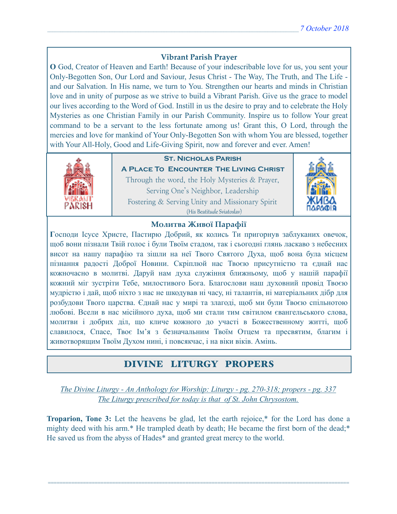## **Vibrant Parish Prayer**

**O** God, Creator of Heaven and Earth! Because of your indescribable love for us, you sent your Only-Begotten Son, Our Lord and Saviour, Jesus Christ - The Way, The Truth, and The Life and our Salvation. In His name, we turn to You. Strengthen our hearts and minds in Christian love and in unity of purpose as we strive to build a Vibrant Parish. Give us the grace to model our lives according to the Word of God. Instill in us the desire to pray and to celebrate the Holy Mysteries as one Christian Family in our Parish Community. Inspire us to follow Your great command to be a servant to the less fortunate among us! Grant this, O Lord, through the mercies and love for mankind of Your Only-Begotten Son with whom You are blessed, together with Your All-Holy, Good and Life-Giving Spirit, now and forever and ever. Amen!



## **St. Nicholas Parish**

**A Place To Encounter The Living Christ** Through the word, the Holy Mysteries & Prayer, Serving One's Neighbor, Leadership Fostering & Serving Unity and Missionary Spirit (His Beatitude Sviatoslav)



#### **Молитва Живої Парафії**

**Г**осподи Ісусе Христе, Пастирю Добрий, як колись Ти пригорнув заблуканих овечок, щоб вони пізнали Твій голос і були Твоїм стадом, так і сьогодні глянь ласкаво з небесних висот на нашу парафію та зішли на неї Твого Святого Духа, щоб вона була місцем пізнання радості Доброї Новини. Скріплюй нас Твоєю присутністю та єднай нас кожночасно в молитві. Даруй нам духа служіння ближньому, щоб у нашій парафії кожний міг зустріти Тебе, милостивого Бога. Благослови наш духовний провід Твоєю мудрістю і дай, щоб ніхто з нас не шкодував ні часу, ні талантів, ні матеріальних дібр для розбудови Твого царства. Єднай нас у мирі та злагоді, щоб ми були Твоєю спільнотою любові. Всели в нас місійного духа, щоб ми стали тим світилом євангельського слова, молитви і добрих діл, що кличе кожного до участі в Божественному житті, щоб славилося, Спасе, Твоє Ім'я з безначальним Твоїм Отцем та пресвятим, благим і животворящим Твоїм Духом нині, і повсякчас, і на віки віків. Амінь.

# DIVINE LITURGY PROPERS

*The Divine Liturgy - An Anthology for Worship: Liturgy - pg. 270-318; propers - pg. 337 The Liturgy prescribed for today is that of St. John Chrysostom.* 

**Troparion, Tone 3:** Let the heavens be glad, let the earth rejoice,\* for the Lord has done a mighty deed with his arm.\* He trampled death by death; He became the first born of the dead;\* He saved us from the abyss of Hades\* and granted great mercy to the world.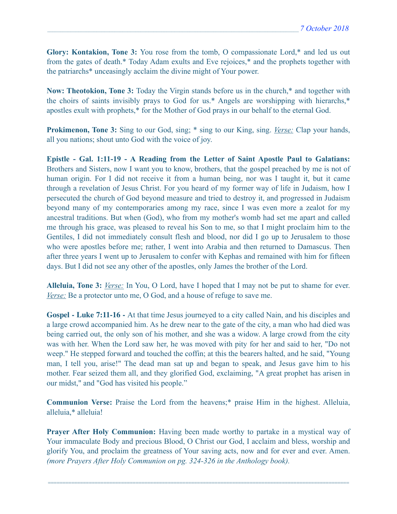**Glory: Kontakion, Tone 3:** You rose from the tomb, O compassionate Lord,\* and led us out from the gates of death.\* Today Adam exults and Eve rejoices,\* and the prophets together with the patriarchs\* unceasingly acclaim the divine might of Your power.

**Now: Theotokion, Tone 3:** Today the Virgin stands before us in the church,\* and together with the choirs of saints invisibly prays to God for us.\* Angels are worshipping with hierarchs,\* apostles exult with prophets,\* for the Mother of God prays in our behalf to the eternal God.

**Prokimenon, Tone 3:** Sing to our God, sing; \* sing to our King, sing. *Verse:* Clap your hands, all you nations; shout unto God with the voice of joy.

**Epistle - Gal. 1:11-19 - A Reading from the Letter of Saint Apostle Paul to Galatians:** Brothers and Sisters, now I want you to know, brothers, that the gospel preached by me is not of human origin. For I did not receive it from a human being, nor was I taught it, but it came through a revelation of Jesus Christ. For you heard of my former way of life in Judaism, how I persecuted the church of God beyond measure and tried to destroy it, and progressed in Judaism beyond many of my contemporaries among my race, since I was even more a zealot for my ancestral traditions. But when (God), who from my mother's womb had set me apart and called me through his grace, was pleased to reveal his Son to me, so that I might proclaim him to the Gentiles, I did not immediately consult flesh and blood, nor did I go up to Jerusalem to those who were apostles before me; rather, I went into Arabia and then returned to Damascus. Then after three years I went up to Jerusalem to confer with Kephas and remained with him for fifteen days. But I did not see any other of the apostles, only James the brother of the Lord.

**Alleluia, Tone 3:** *Verse:* In You, O Lord, have I hoped that I may not be put to shame for ever. *Verse:* Be a protector unto me, O God, and a house of refuge to save me.

**Gospel - Luke 7:11-16 -** At that time Jesus journeyed to a city called Nain, and his disciples and a large crowd accompanied him. As he drew near to the gate of the city, a man who had died was being carried out, the only son of his mother, and she was a widow. A large crowd from the city was with her. When the Lord saw her, he was moved with pity for her and said to her, "Do not weep." He stepped forward and touched the coffin; at this the bearers halted, and he said, "Young man, I tell you, arise!" The dead man sat up and began to speak, and Jesus gave him to his mother. Fear seized them all, and they glorified God, exclaiming, "A great prophet has arisen in our midst," and "God has visited his people."

**Communion Verse:** Praise the Lord from the heavens;\* praise Him in the highest. Alleluia, alleluia,\* alleluia!

**Prayer After Holy Communion:** Having been made worthy to partake in a mystical way of Your immaculate Body and precious Blood, O Christ our God, I acclaim and bless, worship and glorify You, and proclaim the greatness of Your saving acts, now and for ever and ever. Amen. *(more Prayers After Holy Communion on pg. 324-326 in the Anthology book).*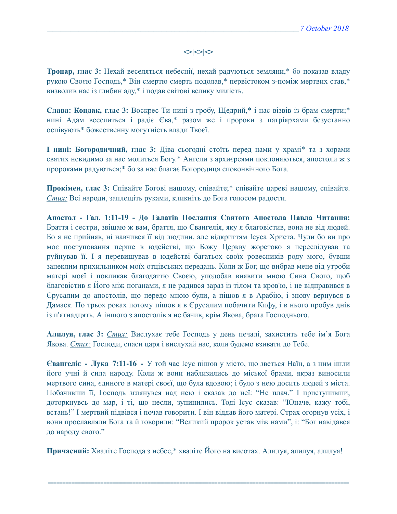$\left| \diamond \right| \diamond \left| \diamond \right|$ 

**Тропар, глас 3:** Нехай веселяться небеснії, нехай радуються земляни,\* бо показав владу рукою Своєю Господь,\* Він смертю смерть подолав,\* первістоком з-поміж мертвих став,\* визволив нас із глибин аду,\* і подав світові велику милість.

**Слава: Кондак, глас 3:** Воскрес Ти нині з гробу, Щедрий,\* і нас візвів із брам смерти;\* нині Адам веселиться і радіє Єва,\* разом же і пророки з патріярхами безустанно оспівують\* божественну могутність влади Твоєї.

**І нині: Богородичний, глас 3:** Діва сьогодні стоїть перед нами у храмі\* та з хорами святих невидимо за нас молиться Богу.\* Ангели з архиєреями поклоняються, апостоли ж з пророками радуються;\* бо за нас благає Богородиця споконвічного Бога.

**Прокімен, глас 3:** Співайте Богові нашому, співайте;\* співайте цареві нашому, співайте. *Стих:* Всі народи, заплещіть руками, кликніть до Бога голосом радости.

**Апостол - Гал. 1:11-19 - До Галатів Послання Святого Апостола Павла Читання:** Браття і сестри, звіщаю ж вам, браття, що Євангелія, яку я благовістив, вона не від людей. Бо я не прийняв, ні навчився її від людини, але відкриттям Ісуса Христа. Чули бо ви про моє поступовання перше в юдействі, що Божу Церкву жорстоко я переслідував та руйнував її. І я перевищував в юдействі багатьох своїх ровесників роду мого, бувши запеклим прихильником моїх отцівських передань. Коли ж Бог, що вибрав мене від утроби матері моєї і покликав благодаттю Своєю, уподобав виявити мною Сина Свого, щоб благовістив я Його між поганами, я не радився зараз із тілом та кров'ю, і не відправився в Єрусалим до апостолів, що передо мною були, а пішов я в Арабію, і знову вернувся в Дамаск. По трьох роках потому пішов я в Єрусалим побачити Кифу, і в нього пробув днів із п'ятнадцять. А іншого з апостолів я не бачив, крім Якова, брата Господнього.

**Алилуя, глас 3:** *Стих:* Вислухає тебе Господь у день печалі, захистить тебе ім'я Бога Якова. *Стих:* Господи, спаси царя і вислухай нас, коли будемо взивати до Тебе.

**Євангеліє - Лука 7:11-16 -** У той час Ісус пішов у місто, що зветься Наїн, а з ним ішли його учні й сила народу. Коли ж вони наблизились до міської брами, якраз виносили мертвого сина, єдиного в матері своєї, що була вдовою; і було з нею досить людей з міста. Побачивши її, Господь зглянувся над нею і сказав до неї: "Не плач." І приступивши, доторкнувсь до мар, і ті, що несли, зупинились. Тоді Ісус сказав: "Юначе, кажу тобі, встань!" І мертвий підвівся і почав говорити. І він віддав його матері. Страх огорнув усіх, і вони прославляли Бога та й говорили: "Великий пророк устав між нами", і: "Бог навідався до народу свого."

**Причасний:** Хваліте Господа з небес,\* хваліте Його на висотах. Алилуя, алилуя, алилуя!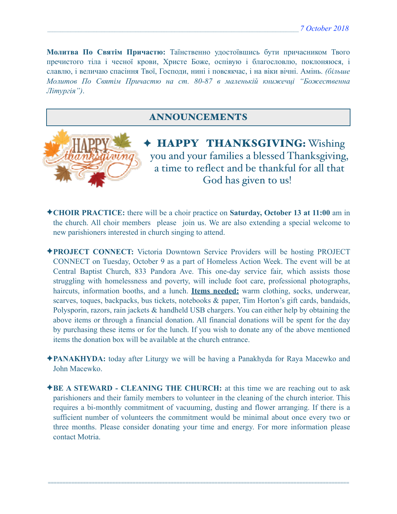**Молитва По Святім Причастю:** Таїнственно удостоївшись бути причасником Твого пречистого тіла і чесної крови, Христе Боже, оспівую і благословлю, поклоняюся, і славлю, і величаю спасіння Твої, Господи, нині і повсякчас, і на віки вічні. Амінь. *(більше Молитов По Святім Причастю на ст. 80-87 в маленькій книжечці "Божественна Літургія")*.

# ANNOUNCEMENTS



**HAPPY THANKSGIVING:** Wishing you and your families a blessed Thanksgiving, a time to reflect and be thankful for all that God has given to us!

✦**CHOIR PRACTICE:** there will be a choir practice on **Saturday, October 13 at 11:00** am in the church. All choir members please join us. We are also extending a special welcome to new parishioners interested in church singing to attend.

✦**PROJECT CONNECT:** Victoria Downtown Service Providers will be hosting PROJECT CONNECT on Tuesday, October 9 as a part of Homeless Action Week. The event will be at Central Baptist Church, 833 Pandora Ave. This one-day service fair, which assists those struggling with homelessness and poverty, will include foot care, professional photographs, haircuts, information booths, and a lunch. **Items needed:** warm clothing, socks, underwear, scarves, toques, backpacks, bus tickets, notebooks & paper, Tim Horton's gift cards, bandaids, Polysporin, razors, rain jackets & handheld USB chargers. You can either help by obtaining the above items or through a financial donation. All financial donations will be spent for the day by purchasing these items or for the lunch. If you wish to donate any of the above mentioned items the donation box will be available at the church entrance.

✦**PANAKHYDA:** today after Liturgy we will be having a Panakhyda for Raya Macewko and John Macewko.

✦**BE A STEWARD - CLEANING THE CHURCH:** at this time we are reaching out to ask parishioners and their family members to volunteer in the cleaning of the church interior. This requires a bi-monthly commitment of vacuuming, dusting and flower arranging. If there is a sufficient number of volunteers the commitment would be minimal about once every two or three months. Please consider donating your time and energy. For more information please contact Motria.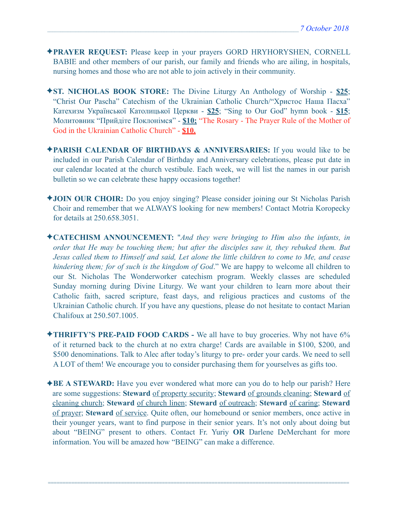- ✦**PRAYER REQUEST:** Please keep in your prayers GORD HRYHORYSHEN, CORNELL BABIE and other members of our parish, our family and friends who are ailing, in hospitals, nursing homes and those who are not able to join actively in their community.
- ✦**ST. NICHOLAS BOOK STORE:** The Divine Liturgy An Anthology of Worship **\$25**; "Christ Our Pascha" Catechism of the Ukrainian Catholic Church/"Христос Наша Пасха" Катехизм Української Католицької Церкви - **\$25**; "Sing to Our God" hymn book - **\$15**; Молитовник "Прийдіте Поклонімся" - **\$10;** "The Rosary - The Prayer Rule of the Mother of God in the Ukrainian Catholic Church" - **\$10.**
- ✦**PARISH CALENDAR OF BIRTHDAYS & ANNIVERSARIES:** If you would like to be included in our Parish Calendar of Birthday and Anniversary celebrations, please put date in our calendar located at the church vestibule. Each week, we will list the names in our parish bulletin so we can celebrate these happy occasions together!
- ✦**JOIN OUR CHOIR:** Do you enjoy singing? Please consider joining our St Nicholas Parish Choir and remember that we ALWAYS looking for new members! Contact Motria Koropecky for details at 250.658.3051.
- ✦**CATECHISM ANNOUNCEMENT:** "*And they were bringing to Him also the infants, in order that He may be touching them; but after the disciples saw it, they rebuked them. But Jesus called them to Himself and said, Let alone the little children to come to Me, and cease hindering them; for of such is the kingdom of God*." We are happy to welcome all children to our St. Nicholas The Wonderworker catechism program. Weekly classes are scheduled Sunday morning during Divine Liturgy. We want your children to learn more about their Catholic faith, sacred scripture, feast days, and religious practices and customs of the Ukrainian Catholic church. If you have any questions, please do not hesitate to contact Marian Chalifoux at 250.507.1005.
- ✦**THRIFTY'S PRE-PAID FOOD CARDS** We all have to buy groceries. Why not have 6% of it returned back to the church at no extra charge! Cards are available in \$100, \$200, and \$500 denominations. Talk to Alec after today's liturgy to pre- order your cards. We need to sell A LOT of them! We encourage you to consider purchasing them for yourselves as gifts too.
- ✦**BE A STEWARD:** Have you ever wondered what more can you do to help our parish? Here are some suggestions: **Steward** of property security; **Steward** of grounds cleaning; **Steward** of cleaning church; **Steward** of church linen; **Steward** of outreach; **Steward** of caring; **Steward** of prayer; **Steward** of service. Quite often, our homebound or senior members, once active in their younger years, want to find purpose in their senior years. It's not only about doing but about "BEING" present to others. Contact Fr. Yuriy **OR** Darlene DeMerchant for more information. You will be amazed how "BEING" can make a difference.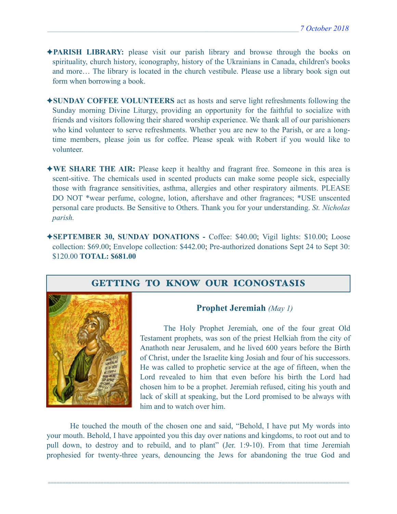- ✦**PARISH LIBRARY:** please visit our parish library and browse through the books on spirituality, church history, iconography, history of the Ukrainians in Canada, children's books and more… The library is located in the church vestibule. Please use a library book sign out form when borrowing a book.
- ✦**SUNDAY COFFEE VOLUNTEERS** act as hosts and serve light refreshments following the Sunday morning Divine Liturgy, providing an opportunity for the faithful to socialize with friends and visitors following their shared worship experience. We thank all of our parishioners who kind volunteer to serve refreshments. Whether you are new to the Parish, or are a longtime members, please join us for coffee. Please speak with Robert if you would like to volunteer.
- ✦**WE SHARE THE AIR:** Please keep it healthy and fragrant free. Someone in this area is scent-sitive. The chemicals used in scented products can make some people sick, especially those with fragrance sensitivities, asthma, allergies and other respiratory ailments. PLEASE DO NOT \*wear perfume, cologne, lotion, aftershave and other fragrances; \*USE unscented personal care products. Be Sensitive to Others. Thank you for your understanding. *St. Nicholas parish.*
- ✦**SEPTEMBER 30, SUNDAY DONATIONS** Coffee: \$40.00; Vigil lights: \$10.00; Loose collection: \$69.00; Envelope collection: \$442.00; Pre-authorized donations Sept 24 to Sept 30: \$120.00 **TOTAL: \$681.00**

# GETTING TO KNOW OUR ICONOSTASIS



## **Prophet Jeremiah** *(May 1)*

 The Holy Prophet Jeremiah, one of the four great Old Testament prophets, was son of the priest Helkiah from the city of Anathoth near Jerusalem, and he lived 600 years before the Birth of Christ, under the Israelite king Josiah and four of his successors. He was called to prophetic service at the age of fifteen, when the Lord revealed to him that even before his birth the Lord had chosen him to be a prophet. Jeremiah refused, citing his youth and lack of skill at speaking, but the Lord promised to be always with him and to watch over him.

He touched the mouth of the chosen one and said, "Behold, I have put My words into your mouth. Behold, I have appointed you this day over nations and kingdoms, to root out and to pull down, to destroy and to rebuild, and to plant" (Jer. 1:9-10). From that time Jeremiah prophesied for twenty-three years, denouncing the Jews for abandoning the true God and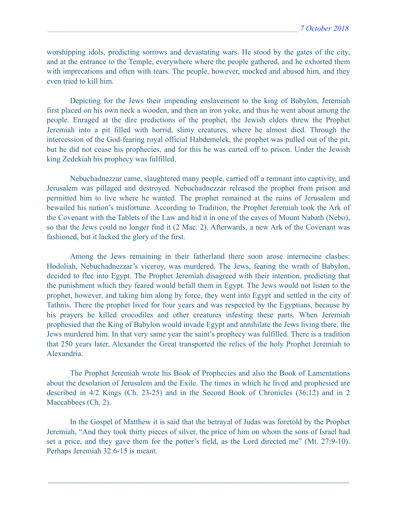worshipping idols, predicting sorrows and devastating wars. He stood by the gates of the city, and at the entrance to the Temple, everywhere where the people gathered, and he exhorted them with imprecations and often with tears. The people, however, mocked and abused him, and they even tried to kill him.

Depicting for the Jews their impending enslavement to the king of Babylon, Jeremiah first placed on his own neck a wooden, and then an iron yoke, and thus he went about among the people. Enraged at the dire predictions of the prophet, the Jewish elders threw the Prophet Jeremiah into a pit filled with horrid, slimy creatures, where he almost died. Through the intercession of the God-fearing royal official Habdemelek, the prophet was pulled out of the pit, but he did not cease his prophecies, and for this he was carted off to prison. Under the Jewish king Zedekiah his prophecy was fulfilled.

Nebuchadnezzar came, slaughtered many people, carried off a remnant into captivity, and Jerusalem was pillaged and destroyed. Nebuchadnezzar released the prophet from prison and permitted him to live where he wanted. The prophet remained at the ruins of Jerusalem and bewailed his nation's misfortune. According to Tradition, the Prophet Jeremiah took the Ark of the Covenant with the Tablets of the Law and hid it in one of the caves of Mount Nabath (Nebo), so that the Jews could no longer find it (2 Mac. 2). Afterwards, a new Ark of the Covenant was fashioned, but it lacked the glory of the first.

Among the Jews remaining in their fatherland there soon arose internecine clashes: Hodoliah, Nebuchadnezzar's viceroy, was murdered. The Jews, fearing the wrath of Babylon, decided to flee into Egypt. The Prophet Jeremiah disagreed with their intention, predicting that the punishment which they feared would befall them in Egypt. The Jews would not listen to the prophet, however, and taking him along by force, they went into Egypt and settled in the city of Tathnis. There the prophet lived for four years and was respected by the Egyptians, because by his prayers he killed crocodiles and other creatures infesting these parts. When Jeremiah prophesied that the King of Babylon would invade Egypt and annihilate the Jews living there, the Jews murdered him. In that very same year the saint's prophecy was fulfilled. There is a tradition that 250 years later, Alexander the Great transported the relics of the holy Prophet Jeremiah to Alexandria.

The Prophet Jeremiah wrote his Book of Prophecies and also the Book of Lamentations about the desolation of Jerusalem and the Exile. The times in which he lived and prophesied are described in 4/2 Kings (Ch. 23-25) and in the Second Book of Chronicles (36:12) and in 2 Maccabbees (Ch. 2).

In the Gospel of Matthew it is said that the betrayal of Judas was foretold by the Prophet Jeremiah, "And they took thirty pieces of silver, the price of him on whom the sons of Israel had set a price, and they gave them for the potter's field, as the Lord directed me" (Mt. 27:9-10). Perhaps Jeremiah 32:6-15 is meant.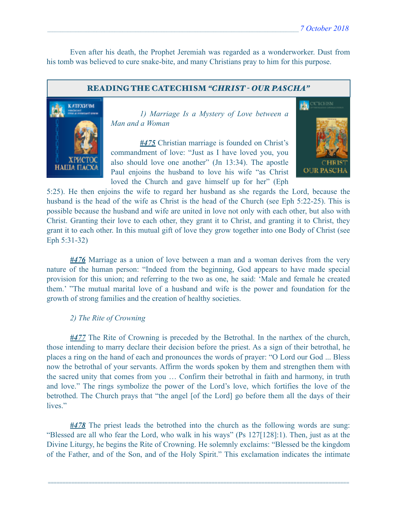Even after his death, the Prophet Jeremiah was regarded as a wonderworker. Dust from his tomb was believed to cure snake-bite, and many Christians pray to him for this purpose.

#### READING THE CATECHISM *"CHRIST - OUR PASCHA"*



*1) Marriage Is a Mystery of Love between a Man and a Woman* 

 *#475* Christian marriage is founded on Christ's commandment of love: "Just as I have loved you, you also should love one another" (Jn 13:34). The apostle Paul enjoins the husband to love his wife "as Christ loved the Church and gave himself up for her" (Eph



5:25). He then enjoins the wife to regard her husband as she regards the Lord, because the husband is the head of the wife as Christ is the head of the Church (see Eph 5:22-25). This is possible because the husband and wife are united in love not only with each other, but also with Christ. Granting their love to each other, they grant it to Christ, and granting it to Christ, they grant it to each other. In this mutual gift of love they grow together into one Body of Christ (see Eph 5:31-32)

*#476* Marriage as a union of love between a man and a woman derives from the very nature of the human person: "Indeed from the beginning, God appears to have made special provision for this union; and referring to the two as one, he said: 'Male and female he created them.' "The mutual marital love of a husband and wife is the power and foundation for the growth of strong families and the creation of healthy societies.

#### *2) The Rite of Crowning*

*#477* The Rite of Crowning is preceded by the Betrothal. In the narthex of the church, those intending to marry declare their decision before the priest. As a sign of their betrothal, he places a ring on the hand of each and pronounces the words of prayer: "O Lord our God ... Bless now the betrothal of your servants. Affirm the words spoken by them and strengthen them with the sacred unity that comes from you … Confirm their betrothal in faith and harmony, in truth and love." The rings symbolize the power of the Lord's love, which fortifies the love of the betrothed. The Church prays that "the angel [of the Lord] go before them all the days of their lives."

*#478* The priest leads the betrothed into the church as the following words are sung: "Blessed are all who fear the Lord, who walk in his ways" (Ps 127[128]:1). Then, just as at the Divine Liturgy, he begins the Rite of Crowning. He solemnly exclaims: "Blessed be the kingdom of the Father, and of the Son, and of the Holy Spirit." This exclamation indicates the intimate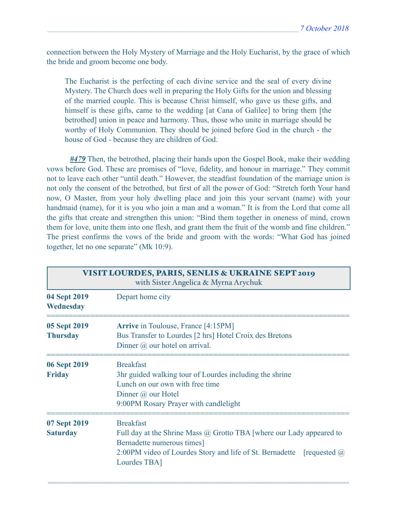connection between the Holy Mystery of Marriage and the Holy Eucharist, by the grace of which the bride and groom become one body.

The Eucharist is the perfecting of each divine service and the seal of every divine Mystery. The Church does well in preparing the Holy Gifts for the union and blessing of the married couple. This is because Christ himself, who gave us these gifts, and himself is these gifts, came to the wedding [at Cana of Galilee] to bring them [the betrothed] union in peace and harmony. Thus, those who unite in marriage should be worthy of Holy Communion. They should be joined before God in the church - the house of God - because they are children of God.

*#479* Then, the betrothed, placing their hands upon the Gospel Book, make their wedding vows before God. These are promises of "love, fidelity, and honour in marriage." They commit not to leave each other "until death." However, the steadfast foundation of the marriage union is not only the consent of the betrothed, but first of all the power of God: "Stretch forth Your hand now, O Master, from your holy dwelling place and join this your servant (name) with your handmaid (name), for it is you who join a man and a woman." It is from the Lord that come all the gifts that create and strengthen this union: "Bind them together in oneness of mind, crown them for love, unite them into one flesh, and grant them the fruit of the womb and fine children." The priest confirms the vows of the bride and groom with the words: "What God has joined together, let no one separate" (Mk 10:9).

| VISIT LOURDES, PARIS, SENLIS & UKRAINE SEPT 2019<br>with Sister Angelica & Myrna Arychuk |                                                                                                                                                                                                                              |  |  |
|------------------------------------------------------------------------------------------|------------------------------------------------------------------------------------------------------------------------------------------------------------------------------------------------------------------------------|--|--|
| 04 Sept 2019<br>Wednesday                                                                | Depart home city                                                                                                                                                                                                             |  |  |
| 05 Sept 2019<br><b>Thursday</b>                                                          | <b>Arrive</b> in Toulouse, France [4:15PM]<br>Bus Transfer to Lourdes [2 hrs] Hotel Croix des Bretons<br>Dinner $\omega$ our hotel on arrival.                                                                               |  |  |
| 06 Sept 2019<br><b>Friday</b>                                                            | <b>Breakfast</b><br>3hr guided walking tour of Lourdes including the shrine<br>Lunch on our own with free time<br>Dinner @ our Hotel<br>9:00PM Rosary Prayer with candlelight                                                |  |  |
| 07 Sept 2019<br><b>Saturday</b>                                                          | <b>Breakfast</b><br>Full day at the Shrine Mass $\omega$ Grotto TBA [where our Lady appeared to<br>Bernadette numerous times]<br>2:00PM video of Lourdes Story and life of St. Bernadette<br>requested $(a)$<br>Lourdes TBA] |  |  |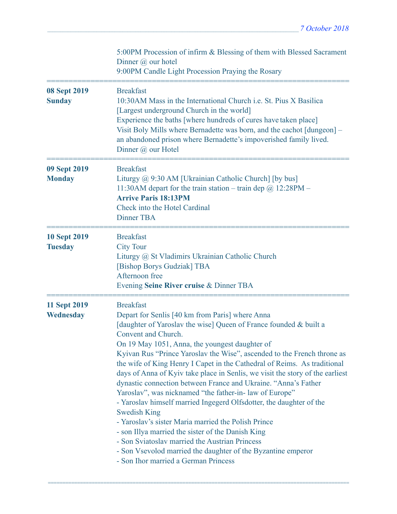|                                       | 5:00PM Procession of infirm & Blessing of them with Blessed Sacrament<br>Dinner $(a)$ our hotel<br>9:00PM Candle Light Procession Praying the Rosary                                                                                                                                                                                                                                                                                                                                                                                                                                                                                                                                                                                                                                                                                                                                                                                                       |  |  |  |
|---------------------------------------|------------------------------------------------------------------------------------------------------------------------------------------------------------------------------------------------------------------------------------------------------------------------------------------------------------------------------------------------------------------------------------------------------------------------------------------------------------------------------------------------------------------------------------------------------------------------------------------------------------------------------------------------------------------------------------------------------------------------------------------------------------------------------------------------------------------------------------------------------------------------------------------------------------------------------------------------------------|--|--|--|
| <b>08 Sept 2019</b><br><b>Sunday</b>  | <b>Breakfast</b><br>10:30AM Mass in the International Church <i>i.e.</i> St. Pius X Basilica<br>[Largest underground Church in the world]<br>Experience the baths [where hundreds of cures have taken place]<br>Visit Boly Mills where Bernadette was born, and the cachot [dungeon] –<br>an abandoned prison where Bernadette's impoverished family lived.<br>Dinner @ our Hotel                                                                                                                                                                                                                                                                                                                                                                                                                                                                                                                                                                          |  |  |  |
| 09 Sept 2019<br><b>Monday</b>         | <b>Breakfast</b><br>Liturgy @ 9:30 AM [Ukrainian Catholic Church] [by bus]<br>11:30AM depart for the train station – train dep $\omega$ 12:28PM –<br><b>Arrive Paris 18:13PM</b><br>Check into the Hotel Cardinal<br><b>Dinner TBA</b>                                                                                                                                                                                                                                                                                                                                                                                                                                                                                                                                                                                                                                                                                                                     |  |  |  |
| <b>10 Sept 2019</b><br><b>Tuesday</b> | <b>Breakfast</b><br><b>City Tour</b><br>Liturgy @ St Vladimirs Ukrainian Catholic Church<br>[Bishop Borys Gudziak] TBA<br>Afternoon free<br>Evening Seine River cruise & Dinner TBA                                                                                                                                                                                                                                                                                                                                                                                                                                                                                                                                                                                                                                                                                                                                                                        |  |  |  |
| <b>11 Sept 2019</b><br>Wednesday      | <b>Breakfast</b><br>Depart for Senlis [40 km from Paris] where Anna<br>[daughter of Yaroslav the wise] Queen of France founded & built a<br>Convent and Church.<br>On 19 May 1051, Anna, the youngest daughter of<br>Kyivan Rus "Prince Yaroslav the Wise", ascended to the French throne as<br>the wife of King Henry I Capet in the Cathedral of Reims. As traditional<br>days of Anna of Kyiv take place in Senlis, we visit the story of the earliest<br>dynastic connection between France and Ukraine. "Anna's Father<br>Yaroslav", was nicknamed "the father-in- law of Europe"<br>- Yaroslav himself married Ingegerd Olfsdotter, the daughter of the<br><b>Swedish King</b><br>- Yaroslav's sister Maria married the Polish Prince<br>- son Illya married the sister of the Danish King<br>- Son Sviatoslav married the Austrian Princess<br>- Son Vsevolod married the daughter of the Byzantine emperor<br>- Son Ihor married a German Princess |  |  |  |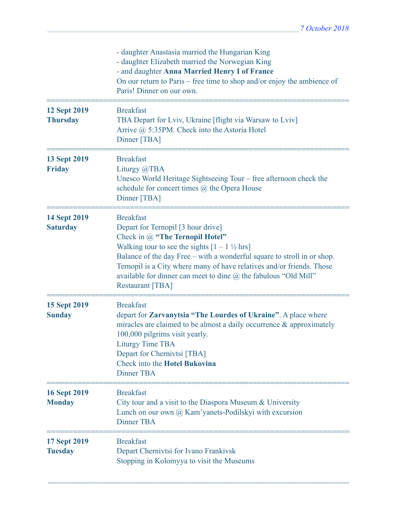|                                       | - daughter Anastasia married the Hungarian King<br>- daughter Elizabeth married the Norwegian King<br>- and daughter Anna Married Henry I of France<br>On our return to Paris – free time to shop and/or enjoy the ambience of<br>Paris! Dinner on our own.                                                                                                                                                            |  |  |  |
|---------------------------------------|------------------------------------------------------------------------------------------------------------------------------------------------------------------------------------------------------------------------------------------------------------------------------------------------------------------------------------------------------------------------------------------------------------------------|--|--|--|
| 12 Sept 2019<br><b>Thursday</b>       | <b>Breakfast</b><br>TBA Depart for Lviv, Ukraine [flight via Warsaw to Lviv]<br>Arrive $\omega$ 5:35PM. Check into the Astoria Hotel<br>Dinner [TBA]                                                                                                                                                                                                                                                                   |  |  |  |
| <b>13 Sept 2019</b><br><b>Friday</b>  | <b>Breakfast</b><br>Liturgy @TBA<br>Unesco World Heritage Sightseeing Tour – free afternoon check the<br>schedule for concert times $(a)$ the Opera House<br>Dinner [TBA]                                                                                                                                                                                                                                              |  |  |  |
| 14 Sept 2019<br><b>Saturday</b>       | <b>Breakfast</b><br>Depart for Ternopil [3 hour drive]<br>Check in @ "The Ternopil Hotel"<br>Walking tour to see the sights $[1 - 1 \frac{1}{2} \text{ hrs}]$<br>Balance of the day Free – with a wonderful square to stroll in or shop.<br>Ternopil is a City where many of have relatives and/or friends. Those<br>available for dinner can meet to dine $\omega$ the fabulous "Old Mill"<br><b>Restaurant</b> [TBA] |  |  |  |
| <b>15 Sept 2019</b><br><b>Sunday</b>  | <b>Breakfast</b><br>depart for Zarvanytsia "The Lourdes of Ukraine". A place where<br>miracles are claimed to be almost a daily occurrence & approximately<br>100,000 pilgrims visit yearly.<br><b>Liturgy Time TBA</b><br>Depart for Chernivtsi [TBA]<br><b>Check into the Hotel Bukovina</b><br><b>Dinner TBA</b>                                                                                                    |  |  |  |
| <b>16 Sept 2019</b><br><b>Monday</b>  | <b>Breakfast</b><br>City tour and a visit to the Diaspora Museum & University<br>Lunch on our own @ Kam'yanets-Podilskyi with excursion<br><b>Dinner TBA</b>                                                                                                                                                                                                                                                           |  |  |  |
| <b>17 Sept 2019</b><br><b>Tuesday</b> | <b>Breakfast</b><br>Depart Chernivtsi for Ivano Frankivsk<br>Stopping in Kolomyya to visit the Museums                                                                                                                                                                                                                                                                                                                 |  |  |  |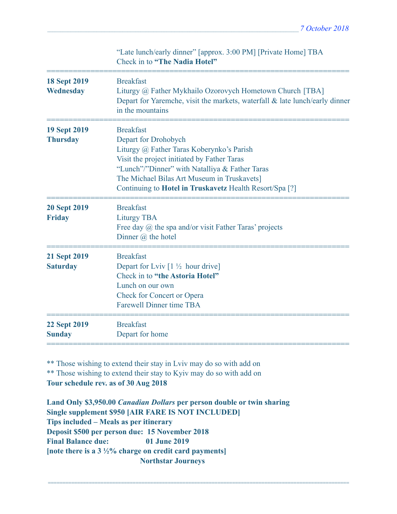|                                        | $\mu$<br>Check in to "The Nadia Hotel"                                                                                                                                                                                                                                                                  |  |  |  |
|----------------------------------------|---------------------------------------------------------------------------------------------------------------------------------------------------------------------------------------------------------------------------------------------------------------------------------------------------------|--|--|--|
| <b>18 Sept 2019</b><br>Wednesday       | <b>Breakfast</b><br>Liturgy @ Father Mykhailo Ozorovych Hometown Church [TBA]<br>Depart for Yaremche, visit the markets, waterfall & late lunch/early dinner<br>in the mountains                                                                                                                        |  |  |  |
| <b>19 Sept 2019</b><br><b>Thursday</b> | <b>Breakfast</b><br>Depart for Drohobych<br>Liturgy @ Father Taras Koberynko's Parish<br>Visit the project initiated by Father Taras<br>"Lunch"/"Dinner" with Natalliya & Father Taras<br>The Michael Bilas Art Museum in Truskavets]<br>Continuing to <b>Hotel in Truskavetz</b> Health Resort/Spa [?] |  |  |  |
| <b>20 Sept 2019</b><br><b>Friday</b>   | <b>Breakfast</b><br><b>Liturgy TBA</b><br>Free day $\omega$ the spa and/or visit Father Taras' projects<br>Dinner $(a)$ the hotel                                                                                                                                                                       |  |  |  |
| 21 Sept 2019<br><b>Saturday</b>        | <b>Breakfast</b><br>Depart for Lviv $[1 \frac{1}{2}$ hour drive]<br>Check in to "the Astoria Hotel"<br>Lunch on our own<br><b>Check for Concert or Opera</b><br><b>Farewell Dinner time TBA</b>                                                                                                         |  |  |  |
| 22 Sept 2019<br><b>Sunday</b>          | <b>Breakfast</b><br>Depart for home                                                                                                                                                                                                                                                                     |  |  |  |

"Late lunch/early dinner" [approx. 3:00 PM] [Private Home] TBA

\*\* Those wishing to extend their stay in Lviv may do so with add on \*\* Those wishing to extend their stay to Kyiv may do so with add on **Tour schedule rev. as of 30 Aug 2018** 

**Land Only \$3,950.00** *Canadian Dollars* **per person double or twin sharing Single supplement \$950 [AIR FARE IS NOT INCLUDED] Tips included – Meals as per itinerary Deposit \$500 per person due: 15 November 2018 Final Balance due: 01 June 2019 [note there is a 3 ½% charge on credit card payments] Northstar Journeys**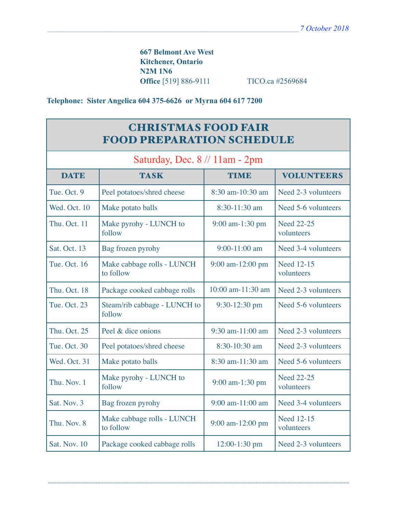**667 Belmont Ave West Kitchener, Ontario N2M 1N6 Office** [519] 886-9111 TICO.ca #2569684

**Telephone: Sister Angelica 604 375-6626 or Myrna 604 617 7200** 

# CHRISTMAS FOOD FAIR FOOD PREPARATION SCHEDULE

| Saturday, Dec. 8 // 11am - 2pm |                                         |                   |                                 |  |
|--------------------------------|-----------------------------------------|-------------------|---------------------------------|--|
| <b>DATE</b>                    | <b>TASK</b>                             | <b>TIME</b>       | <b>VOLUNTEERS</b>               |  |
| Tue. Oct. 9                    | Peel potatoes/shred cheese              | 8:30 am-10:30 am  | Need 2-3 volunteers             |  |
| Wed. Oct. 10                   | Make potato balls                       | 8:30-11:30 am     | Need 5-6 volunteers             |  |
| Thu. Oct. 11                   | Make pyrohy - LUNCH to<br>follow        | 9:00 am-1:30 pm   | <b>Need 22-25</b><br>volunteers |  |
| Sat. Oct. 13                   | Bag frozen pyrohy                       | 9:00-11:00 am     | Need 3-4 volunteers             |  |
| Tue. Oct. 16                   | Make cabbage rolls - LUNCH<br>to follow | 9:00 am-12:00 pm  | <b>Need 12-15</b><br>volunteers |  |
| Thu. Oct. 18                   | Package cooked cabbage rolls            | 10:00 am-11:30 am | Need 2-3 volunteers             |  |
| Tue. Oct. 23                   | Steam/rib cabbage - LUNCH to<br>follow  | 9:30-12:30 pm     | Need 5-6 volunteers             |  |
| Thu. Oct. 25                   | Peel & dice onions                      | 9:30 am-11:00 am  | Need 2-3 volunteers             |  |
| Tue. Oct. 30                   | Peel potatoes/shred cheese              | 8:30-10:30 am     | Need 2-3 volunteers             |  |
| Wed. Oct. 31                   | Make potato balls                       | 8:30 am-11:30 am  | Need 5-6 volunteers             |  |
| Thu. Nov. 1                    | Make pyrohy - LUNCH to<br>follow        | 9:00 am-1:30 pm   | <b>Need 22-25</b><br>volunteers |  |
| Sat. Nov. 3                    | Bag frozen pyrohy                       | 9:00 am-11:00 am  | Need 3-4 volunteers             |  |
| Thu. Nov. 8                    | Make cabbage rolls - LUNCH<br>to follow | 9:00 am-12:00 pm  | <b>Need 12-15</b><br>volunteers |  |
| Sat. Nov. 10                   | Package cooked cabbage rolls            | 12:00-1:30 pm     | Need 2-3 volunteers             |  |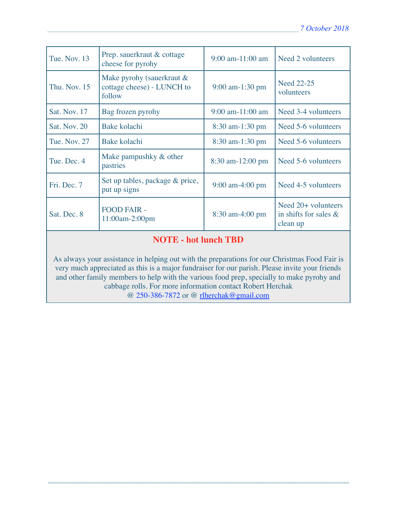| <b>Tue. Nov. 13</b> | Prep. sauerkraut & cottage<br>cheese for pyrohy                      | $9:00$ am- $11:00$ am | Need 2 volunteers                                           |
|---------------------|----------------------------------------------------------------------|-----------------------|-------------------------------------------------------------|
| <b>Thu. Nov. 15</b> | Make pyrohy (sauerkraut $\&$<br>cottage cheese) - LUNCH to<br>follow | $9:00$ am-1:30 pm     | <b>Need 22-25</b><br>volunteers                             |
| <b>Sat. Nov. 17</b> | Bag frozen pyrohy                                                    | $9:00$ am-11:00 am    | Need 3-4 volunteers                                         |
| Sat. Nov. 20        | Bake kolachi                                                         | $8:30$ am-1:30 pm     | Need 5-6 volunteers                                         |
| Tue. Nov. 27        | Bake kolachi                                                         | $8:30$ am-1:30 pm     | Need 5-6 volunteers                                         |
| Tue. Dec. 4         | Make pampushky & other<br>pastries                                   | $8:30$ am-12:00 pm    | Need 5-6 volunteers                                         |
| Fri. Dec. 7         | Set up tables, package & price,<br>put up signs                      | $9:00$ am-4:00 pm     | Need 4-5 volunteers                                         |
| Sat. Dec. 8         | <b>FOOD FAIR -</b><br>11:00am-2:00pm                                 | 8:30 am-4:00 pm       | Need 20+ volunteers<br>in shifts for sales $\&$<br>clean up |

# **NOTE - hot lunch TBD**

As always your assistance in helping out with the preparations for our Christmas Food Fair is very much appreciated as this is a major fundraiser for our parish. Please invite your friends and other family members to help with the various food prep, specially to make pyrohy and cabbage rolls. For more information contact Robert Herchak @ 250-386-7872 or @ [rlherchak@gmail.com](mailto:rlherchak@gmail.com)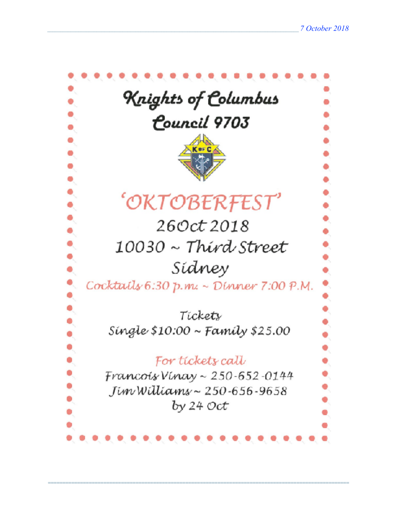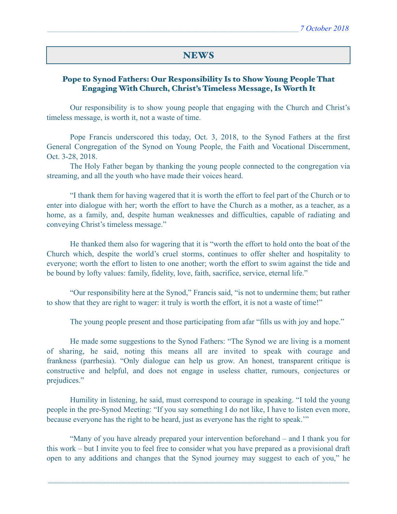### **NEWS**

## Pope to Synod Fathers: Our Responsibility Is to Show Young People That Engaging With Church, Christ's Timeless Message, Is Worth It

 Our responsibility is to show young people that engaging with the Church and Christ's timeless message, is worth it, not a waste of time.

 Pope Francis underscored this today, Oct. 3, 2018, to the Synod Fathers at the first General Congregation of the Synod on Young People, the Faith and Vocational Discernment, Oct. 3-28, 2018.

 The Holy Father began by thanking the young people connected to the congregation via streaming, and all the youth who have made their voices heard.

 "I thank them for having wagered that it is worth the effort to feel part of the Church or to enter into dialogue with her; worth the effort to have the Church as a mother, as a teacher, as a home, as a family, and, despite human weaknesses and difficulties, capable of radiating and conveying Christ's timeless message."

 He thanked them also for wagering that it is "worth the effort to hold onto the boat of the Church which, despite the world's cruel storms, continues to offer shelter and hospitality to everyone; worth the effort to listen to one another; worth the effort to swim against the tide and be bound by lofty values: family, fidelity, love, faith, sacrifice, service, eternal life."

 "Our responsibility here at the Synod," Francis said, "is not to undermine them; but rather to show that they are right to wager: it truly is worth the effort, it is not a waste of time!"

The young people present and those participating from afar "fills us with joy and hope."

 He made some suggestions to the Synod Fathers: "The Synod we are living is a moment of sharing, he said, noting this means all are invited to speak with courage and frankness (parrhesia). "Only dialogue can help us grow. An honest, transparent critique is constructive and helpful, and does not engage in useless chatter, rumours, conjectures or prejudices."

 Humility in listening, he said, must correspond to courage in speaking. "I told the young people in the pre-Synod Meeting: "If you say something I do not like, I have to listen even more, because everyone has the right to be heard, just as everyone has the right to speak.'"

 "Many of you have already prepared your intervention beforehand – and I thank you for this work – but I invite you to feel free to consider what you have prepared as a provisional draft open to any additions and changes that the Synod journey may suggest to each of you," he